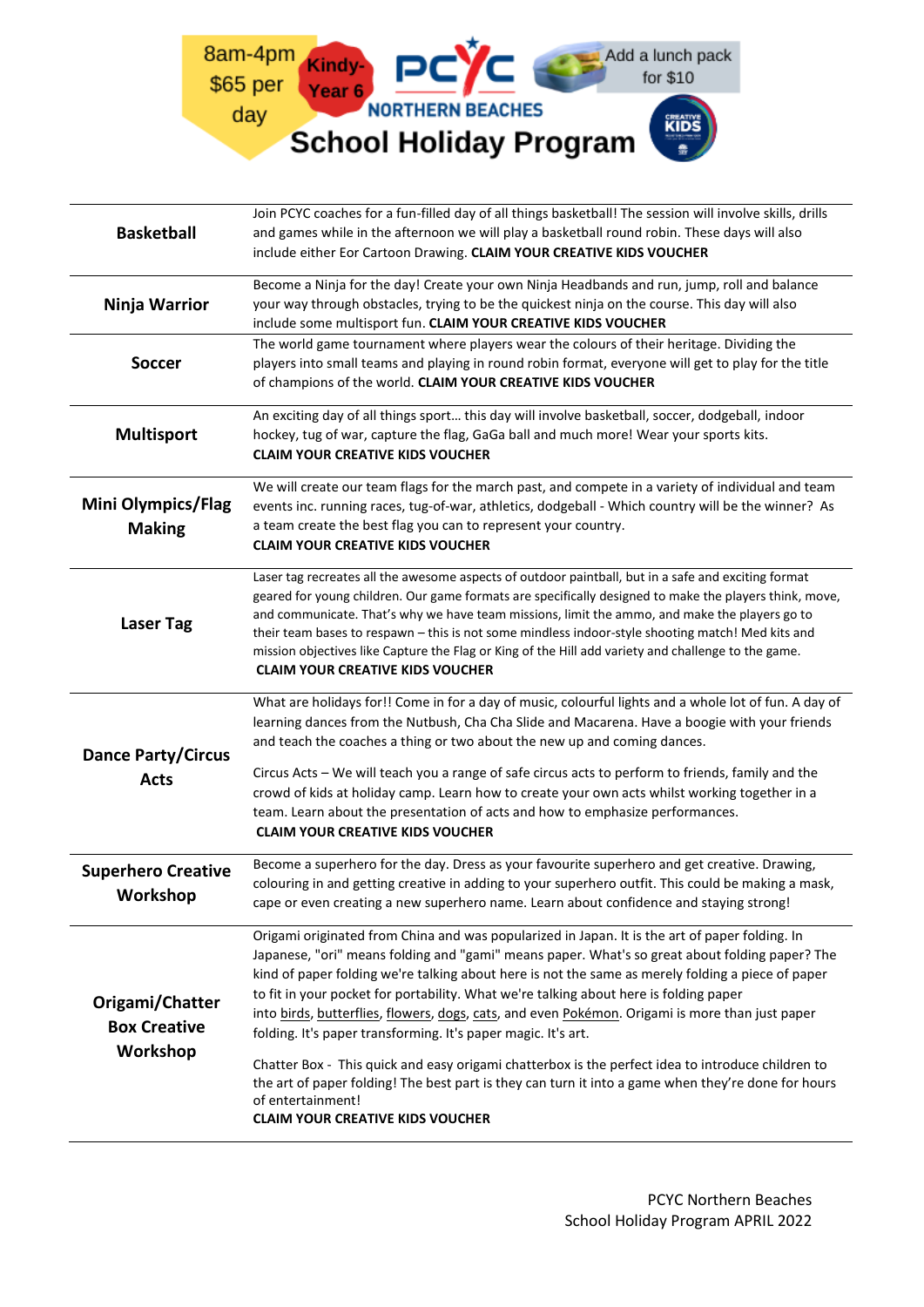

| <b>Basketball</b>                                  | Join PCYC coaches for a fun-filled day of all things basketball! The session will involve skills, drills<br>and games while in the afternoon we will play a basketball round robin. These days will also<br>include either Eor Cartoon Drawing. CLAIM YOUR CREATIVE KIDS VOUCHER                                                                                                                                                                                                                                                                                                                                                                                                                                                                                                                                                               |
|----------------------------------------------------|------------------------------------------------------------------------------------------------------------------------------------------------------------------------------------------------------------------------------------------------------------------------------------------------------------------------------------------------------------------------------------------------------------------------------------------------------------------------------------------------------------------------------------------------------------------------------------------------------------------------------------------------------------------------------------------------------------------------------------------------------------------------------------------------------------------------------------------------|
| Ninja Warrior                                      | Become a Ninja for the day! Create your own Ninja Headbands and run, jump, roll and balance<br>your way through obstacles, trying to be the quickest ninja on the course. This day will also<br>include some multisport fun. CLAIM YOUR CREATIVE KIDS VOUCHER                                                                                                                                                                                                                                                                                                                                                                                                                                                                                                                                                                                  |
| <b>Soccer</b>                                      | The world game tournament where players wear the colours of their heritage. Dividing the<br>players into small teams and playing in round robin format, everyone will get to play for the title<br>of champions of the world. CLAIM YOUR CREATIVE KIDS VOUCHER                                                                                                                                                                                                                                                                                                                                                                                                                                                                                                                                                                                 |
| <b>Multisport</b>                                  | An exciting day of all things sport this day will involve basketball, soccer, dodgeball, indoor<br>hockey, tug of war, capture the flag, GaGa ball and much more! Wear your sports kits.<br><b>CLAIM YOUR CREATIVE KIDS VOUCHER</b>                                                                                                                                                                                                                                                                                                                                                                                                                                                                                                                                                                                                            |
| <b>Mini Olympics/Flag</b><br><b>Making</b>         | We will create our team flags for the march past, and compete in a variety of individual and team<br>events inc. running races, tug-of-war, athletics, dodgeball - Which country will be the winner? As<br>a team create the best flag you can to represent your country.<br><b>CLAIM YOUR CREATIVE KIDS VOUCHER</b>                                                                                                                                                                                                                                                                                                                                                                                                                                                                                                                           |
| <b>Laser Tag</b>                                   | Laser tag recreates all the awesome aspects of outdoor paintball, but in a safe and exciting format<br>geared for young children. Our game formats are specifically designed to make the players think, move,<br>and communicate. That's why we have team missions, limit the ammo, and make the players go to<br>their team bases to respawn - this is not some mindless indoor-style shooting match! Med kits and<br>mission objectives like Capture the Flag or King of the Hill add variety and challenge to the game.<br><b>CLAIM YOUR CREATIVE KIDS VOUCHER</b>                                                                                                                                                                                                                                                                          |
| <b>Dance Party/Circus</b><br><b>Acts</b>           | What are holidays for!! Come in for a day of music, colourful lights and a whole lot of fun. A day of<br>learning dances from the Nutbush, Cha Cha Slide and Macarena. Have a boogie with your friends<br>and teach the coaches a thing or two about the new up and coming dances.<br>Circus Acts - We will teach you a range of safe circus acts to perform to friends, family and the<br>crowd of kids at holiday camp. Learn how to create your own acts whilst working together in a<br>team. Learn about the presentation of acts and how to emphasize performances.<br><b>CLAIM YOUR CREATIVE KIDS VOUCHER</b>                                                                                                                                                                                                                           |
| <b>Superhero Creative</b><br>Workshop              | Become a superhero for the day. Dress as your favourite superhero and get creative. Drawing,<br>colouring in and getting creative in adding to your superhero outfit. This could be making a mask,<br>cape or even creating a new superhero name. Learn about confidence and staying strong!                                                                                                                                                                                                                                                                                                                                                                                                                                                                                                                                                   |
| Origami/Chatter<br><b>Box Creative</b><br>Workshop | Origami originated from China and was popularized in Japan. It is the art of paper folding. In<br>Japanese, "ori" means folding and "gami" means paper. What's so great about folding paper? The<br>kind of paper folding we're talking about here is not the same as merely folding a piece of paper<br>to fit in your pocket for portability. What we're talking about here is folding paper<br>into birds, butterflies, flowers, dogs, cats, and even Pokémon. Origami is more than just paper<br>folding. It's paper transforming. It's paper magic. It's art.<br>Chatter Box - This quick and easy origami chatterbox is the perfect idea to introduce children to<br>the art of paper folding! The best part is they can turn it into a game when they're done for hours<br>of entertainment!<br><b>CLAIM YOUR CREATIVE KIDS VOUCHER</b> |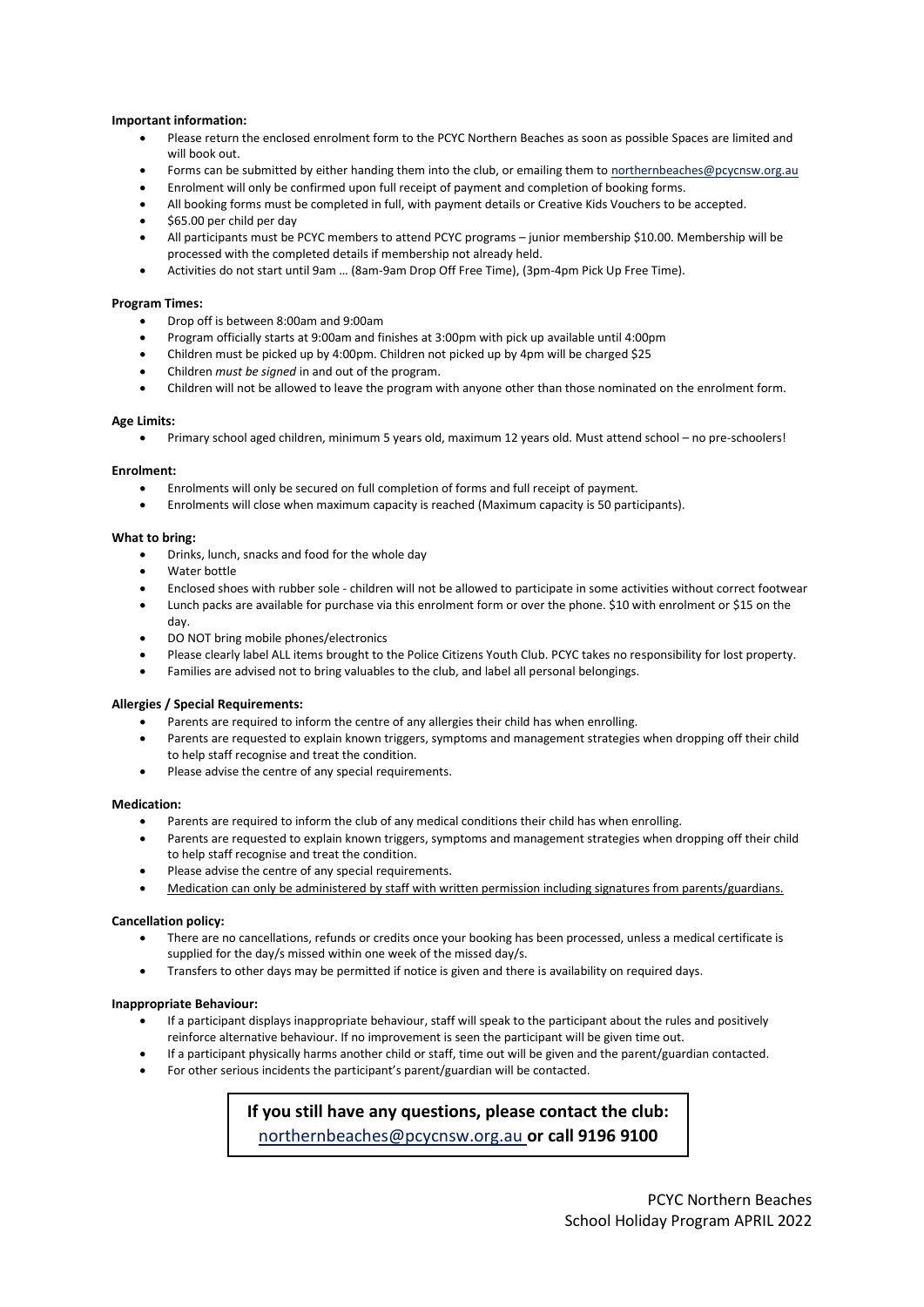### **Important information:**

- Please return the enclosed enrolment form to the PCYC Northern Beaches as soon as possible Spaces are limited and will book out.
- Forms can be submitted by either handing them into the club, or emailing them to [northernbeaches@pcycnsw.org.au](mailto:northernbeaches@pcycnsw.org.au)
- Enrolment will only be confirmed upon full receipt of payment and completion of booking forms.
- All booking forms must be completed in full, with payment details or Creative Kids Vouchers to be accepted.
- \$65.00 per child per day
- All participants must be PCYC members to attend PCYC programs junior membership \$10.00. Membership will be processed with the completed details if membership not already held.
- Activities do not start until 9am … (8am-9am Drop Off Free Time), (3pm-4pm Pick Up Free Time).

#### **Program Times:**

- Drop off is between 8:00am and 9:00am
- Program officially starts at 9:00am and finishes at 3:00pm with pick up available until 4:00pm
- Children must be picked up by 4:00pm. Children not picked up by 4pm will be charged \$25
- Children *must be signed* in and out of the program.
- Children will not be allowed to leave the program with anyone other than those nominated on the enrolment form.

#### **Age Limits:**

• Primary school aged children, minimum 5 years old, maximum 12 years old. Must attend school – no pre-schoolers!

#### **Enrolment:**

- Enrolments will only be secured on full completion of forms and full receipt of payment.
- Enrolments will close when maximum capacity is reached (Maximum capacity is 50 participants).

## **What to bring:**

- Drinks, lunch, snacks and food for the whole day
- Water bottle
- Enclosed shoes with rubber sole children will not be allowed to participate in some activities without correct footwear
- Lunch packs are available for purchase via this enrolment form or over the phone. \$10 with enrolment or \$15 on the day.
- DO NOT bring mobile phones/electronics
- Please clearly label ALL items brought to the Police Citizens Youth Club. PCYC takes no responsibility for lost property.
- Families are advised not to bring valuables to the club, and label all personal belongings.

### **Allergies / Special Requirements:**

- Parents are required to inform the centre of any allergies their child has when enrolling.
- Parents are requested to explain known triggers, symptoms and management strategies when dropping off their child to help staff recognise and treat the condition.
- Please advise the centre of any special requirements.

#### **Medication:**

- Parents are required to inform the club of any medical conditions their child has when enrolling.
- Parents are requested to explain known triggers, symptoms and management strategies when dropping off their child to help staff recognise and treat the condition.
- Please advise the centre of any special requirements.
- Medication can only be administered by staff with written permission including signatures from parents/guardians.

## **Cancellation policy:**

- There are no cancellations, refunds or credits once your booking has been processed, unless a medical certificate is supplied for the day/s missed within one week of the missed day/s.
- Transfers to other days may be permitted if notice is given and there is availability on required days.

#### **Inappropriate Behaviour:**

- If a participant displays inappropriate behaviour, staff will speak to the participant about the rules and positively reinforce alternative behaviour. If no improvement is seen the participant will be given time out.
- If a participant physically harms another child or staff, time out will be given and the parent/guardian contacted.
- For other serious incidents the participant's parent/guardian will be contacted.

**If you still have any questions, please contact the club:**  [northernbeaches@pcycnsw.org.au](mailto:northernbeaches@pcycnsw.org.au) **or call 9196 9100**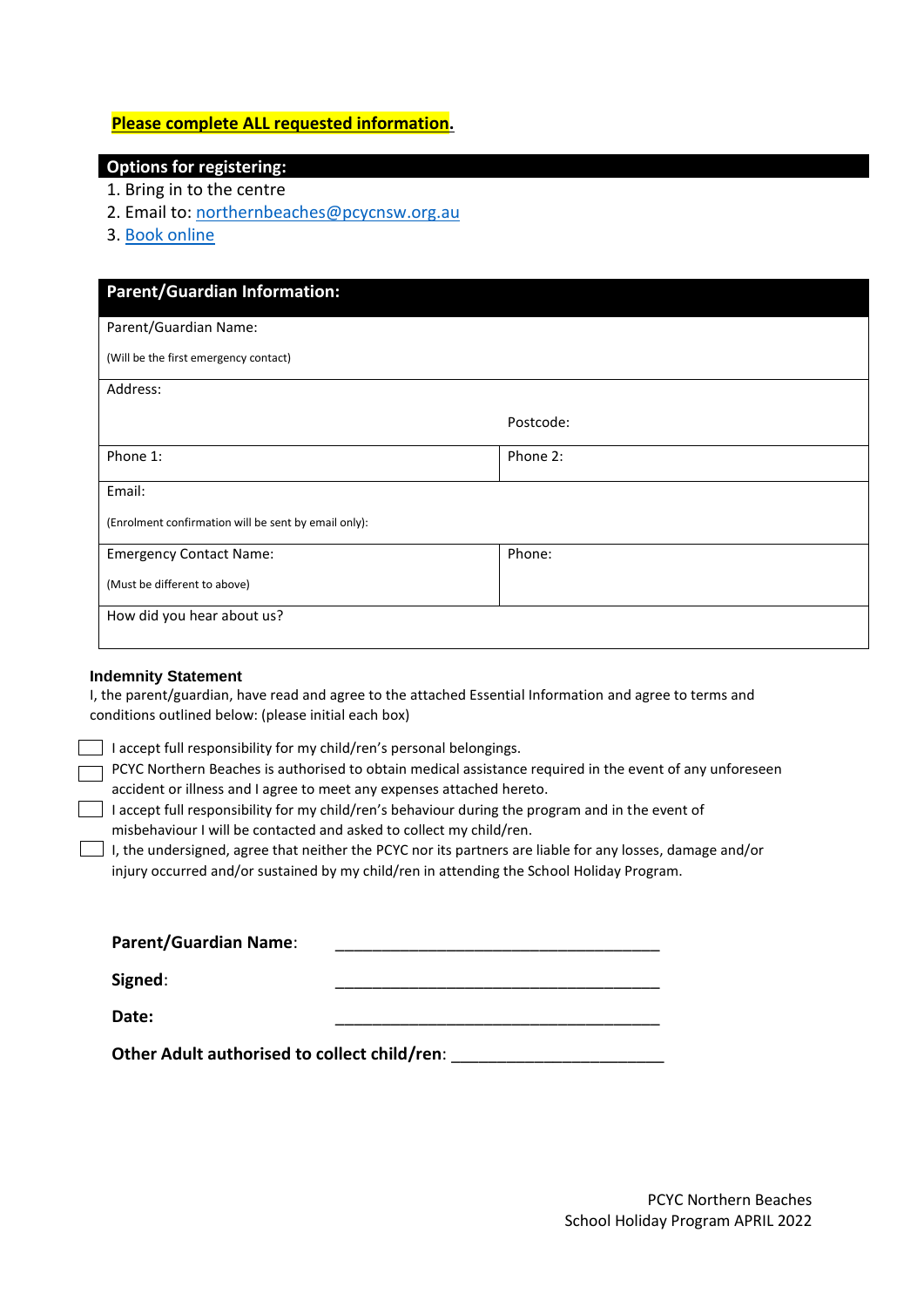# **Please complete ALL requested information.**

# **Options for registering:**

- 1. Bring in to the centre
- 2. Email to: northernbeaches@pcycnsw.org.au
- 3. [Book online](https://www.pcycnsw.org.au/northern-beaches/school-holiday-programs/)

| <b>Parent/Guardian Information:</b>                  |           |
|------------------------------------------------------|-----------|
| Parent/Guardian Name:                                |           |
| (Will be the first emergency contact)                |           |
| Address:                                             |           |
|                                                      | Postcode: |
| Phone 1:                                             | Phone 2:  |
| Email:                                               |           |
| (Enrolment confirmation will be sent by email only): |           |
| <b>Emergency Contact Name:</b>                       | Phone:    |
| (Must be different to above)                         |           |
| How did you hear about us?                           |           |

## **Indemnity Statement**

I, the parent/guardian, have read and agree to the attached Essential Information and agree to terms and conditions outlined below: (please initial each box)

 $\Box$  I accept full responsibility for my child/ren's personal belongings.

 $\Box$  PCYC Northern Beaches is authorised to obtain medical assistance required in the event of any unforeseen accident or illness and I agree to meet any expenses attached hereto.

 $\Box$  I accept full responsibility for my child/ren's behaviour during the program and in the event of misbehaviour I will be contacted and asked to collect my child/ren.

 $\Box$  I, the undersigned, agree that neither the PCYC nor its partners are liable for any losses, damage and/or injury occurred and/or sustained by my child/ren in attending the School Holiday Program.

| <b>Parent/Guardian Name:</b> |  |
|------------------------------|--|
| Signed:                      |  |
| Date:                        |  |

**Other Adult authorised to collect child/ren**: \_\_\_\_\_\_\_\_\_\_\_\_\_\_\_\_\_\_\_\_\_\_\_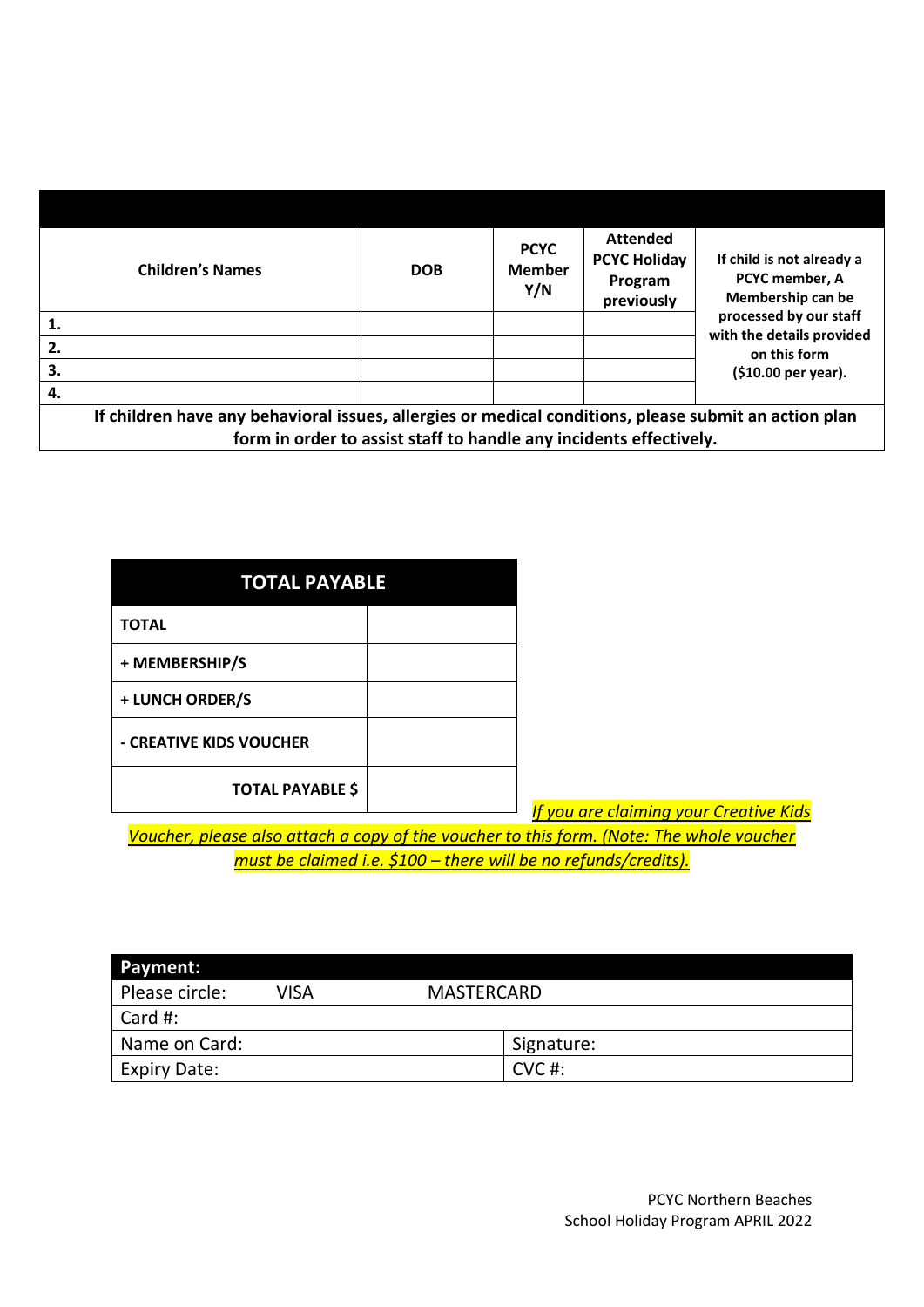|                                                                                                                                                                             | <b>Children's Names</b> | <b>DOB</b> | <b>PCYC</b><br><b>Member</b><br>Y/N | <b>Attended</b><br><b>PCYC Holiday</b><br>Program<br>previously | If child is not already a<br><b>PCYC member. A</b><br>Membership can be |  |
|-----------------------------------------------------------------------------------------------------------------------------------------------------------------------------|-------------------------|------------|-------------------------------------|-----------------------------------------------------------------|-------------------------------------------------------------------------|--|
| 1.                                                                                                                                                                          |                         |            |                                     |                                                                 | processed by our staff<br>with the details provided                     |  |
| 2.                                                                                                                                                                          |                         |            |                                     |                                                                 | on this form                                                            |  |
| 3.                                                                                                                                                                          |                         |            |                                     |                                                                 | (\$10.00 per year).                                                     |  |
| 4.                                                                                                                                                                          |                         |            |                                     |                                                                 |                                                                         |  |
| If children have any behavioral issues, allergies or medical conditions, please submit an action plan<br>form in order to assist staff to handle any incidents effectively. |                         |            |                                     |                                                                 |                                                                         |  |

**TOTAL PAYABLE TOTAL + MEMBERSHIP/S + LUNCH ORDER/S - CREATIVE KIDS VOUCHER TOTAL PAYABLE \$**

*If you are claiming your Creative Kids* 

*Voucher, please also attach a copy of the voucher to this form. (Note: The whole voucher must be claimed i.e. \$100 – there will be no refunds/credits).*

| <b>Payment:</b>     |             |                   |            |
|---------------------|-------------|-------------------|------------|
| Please circle:      | <b>VISA</b> | <b>MASTERCARD</b> |            |
| Card #:             |             |                   |            |
| Name on Card:       |             |                   | Signature: |
| <b>Expiry Date:</b> |             |                   | $CVC$ #:   |